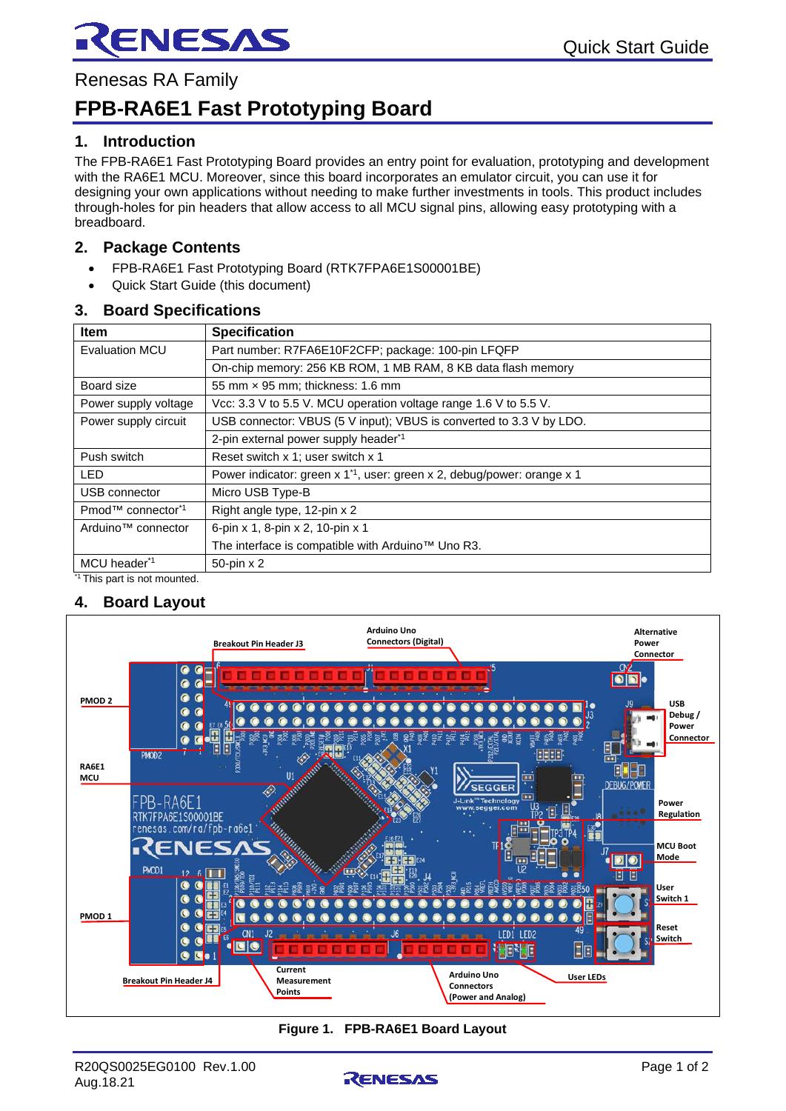

Renesas RA Family

# **FPB-RA6E1 Fast Prototyping Board**

#### **1. Introduction**

The FPB-RA6E1 Fast Prototyping Board provides an entry point for evaluation, prototyping and development with the RA6E1 MCU. Moreover, since this board incorporates an emulator circuit, you can use it for designing your own applications without needing to make further investments in tools. This product includes through-holes for pin headers that allow access to all MCU signal pins, allowing easy prototyping with a breadboard.

#### **2. Package Contents**

- FPB-RA6E1 Fast Prototyping Board (RTK7FPA6E1S00001BE)
- Quick Start Guide (this document)

#### **3. Board Specifications**

| <b>Item</b>                               | <b>Specification</b>                                                                |
|-------------------------------------------|-------------------------------------------------------------------------------------|
| <b>Evaluation MCU</b>                     | Part number: R7FA6E10F2CFP; package: 100-pin LFQFP                                  |
|                                           | On-chip memory: 256 KB ROM, 1 MB RAM, 8 KB data flash memory                        |
| Board size                                | 55 mm x 95 mm; thickness: 1.6 mm                                                    |
| Power supply voltage                      | Vcc: 3.3 V to 5.5 V. MCU operation voltage range 1.6 V to 5.5 V.                    |
| Power supply circuit                      | USB connector: VBUS (5 V input); VBUS is converted to 3.3 V by LDO.                 |
|                                           | 2-pin external power supply header <sup>*1</sup>                                    |
| Push switch                               | Reset switch x 1; user switch x 1                                                   |
| <b>LED</b>                                | Power indicator: green x 1 <sup>*1</sup> , user: green x 2, debug/power: orange x 1 |
| USB connector                             | Micro USB Type-B                                                                    |
| Pmod <sup>™</sup> connector <sup>*1</sup> | Right angle type, 12-pin x 2                                                        |
| Arduino <sup>™</sup> connector            | 6-pin x 1, 8-pin x 2, 10-pin x 1                                                    |
|                                           | The interface is compatible with Arduino™ Uno R3.                                   |
| MCU header*1                              | 50-pin x 2                                                                          |
|                                           |                                                                                     |

<sup>1</sup> This part is not mounted.

### **4. Board Layout**



**Figure 1. FPB-RA6E1 Board Layout**